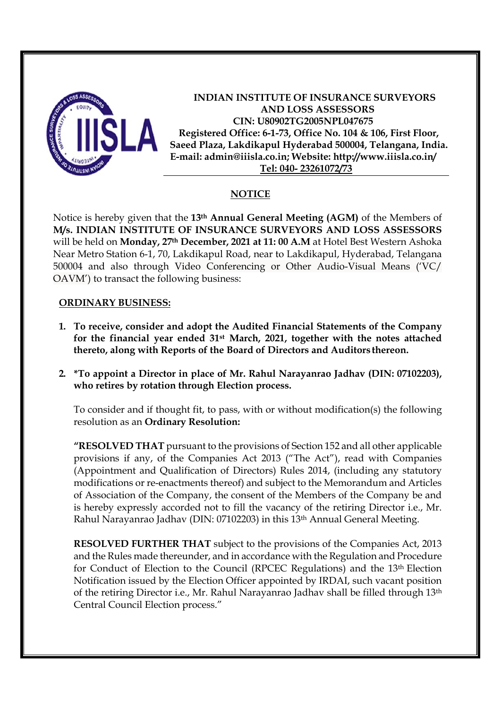

**INDIAN INSTITUTE OF INSURANCE SURVEYORS AND LOSS ASSESSORS CIN: U80902TG2005NPL047675 Registered Office: 6-1-73, Office No. 104 & 106, First Floor, Saeed Plaza, Lakdikapul Hyderabad 500004, Telangana, India. E-mail: admin@iiisla.co.in; Website: http://www.iiisla.co.in/ Tel: 040- 23261072/73** 

#### **NOTICE**

Notice is hereby given that the **13th Annual General Meeting (AGM)** of the Members of **M/s. INDIAN INSTITUTE OF INSURANCE SURVEYORS AND LOSS ASSESSORS** will be held on **Monday, 27th December, 2021 at 11: 00 A.M** at Hotel Best Western Ashoka Near Metro Station 6-1, 70, Lakdikapul Road, near to Lakdikapul, Hyderabad, Telangana 500004 and also through Video Conferencing or Other Audio-Visual Means ('VC/ OAVM') to transact the following business:

#### **ORDINARY BUSINESS:**

- **1. To receive, consider and adopt the Audited Financial Statements of the Company for the financial year ended 31st March, 2021, together with the notes attached thereto, along with Reports of the Board of Directors and Auditors thereon.**
- **2. \*To appoint a Director in place of Mr. Rahul Narayanrao Jadhav (DIN: 07102203), who retires by rotation through Election process.**

To consider and if thought fit, to pass, with or without modification(s) the following resolution as an **Ordinary Resolution:** 

**"RESOLVED THAT** pursuant to the provisions of Section 152 and all other applicable provisions if any, of the Companies Act 2013 ("The Act"), read with Companies (Appointment and Qualification of Directors) Rules 2014, (including any statutory modifications or re-enactments thereof) and subject to the Memorandum and Articles of Association of the Company, the consent of the Members of the Company be and is hereby expressly accorded not to fill the vacancy of the retiring Director i.e., Mr. Rahul Narayanrao Jadhav (DIN: 07102203) in this 13th Annual General Meeting.

**RESOLVED FURTHER THAT** subject to the provisions of the Companies Act, 2013 and the Rules made thereunder, and in accordance with the Regulation and Procedure for Conduct of Election to the Council (RPCEC Regulations) and the 13th Election Notification issued by the Election Officer appointed by IRDAI, such vacant position of the retiring Director i.e., Mr. Rahul Narayanrao Jadhav shall be filled through 13th Central Council Election process."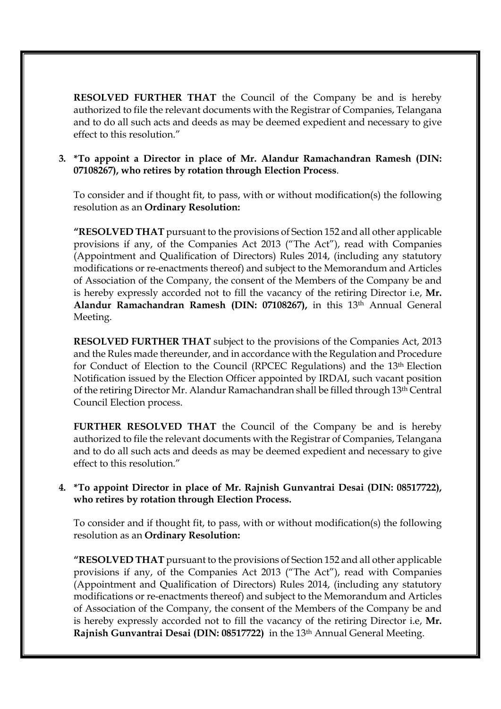**RESOLVED FURTHER THAT** the Council of the Company be and is hereby authorized to file the relevant documents with the Registrar of Companies, Telangana and to do all such acts and deeds as may be deemed expedient and necessary to give effect to this resolution."

#### **3. \*To appoint a Director in place of Mr. Alandur Ramachandran Ramesh (DIN: 07108267), who retires by rotation through Election Process**.

To consider and if thought fit, to pass, with or without modification(s) the following resolution as an **Ordinary Resolution:**

**"RESOLVED THAT** pursuant to the provisions of Section 152 and all other applicable provisions if any, of the Companies Act 2013 ("The Act"), read with Companies (Appointment and Qualification of Directors) Rules 2014, (including any statutory modifications or re-enactments thereof) and subject to the Memorandum and Articles of Association of the Company, the consent of the Members of the Company be and is hereby expressly accorded not to fill the vacancy of the retiring Director i.e, **Mr. Alandur Ramachandran Ramesh (DIN: 07108267),** in this 13th Annual General Meeting.

**RESOLVED FURTHER THAT** subject to the provisions of the Companies Act, 2013 and the Rules made thereunder, and in accordance with the Regulation and Procedure for Conduct of Election to the Council (RPCEC Regulations) and the 13th Election Notification issued by the Election Officer appointed by IRDAI, such vacant position of the retiring Director Mr. Alandur Ramachandran shall be filled through 13th Central Council Election process.

**FURTHER RESOLVED THAT** the Council of the Company be and is hereby authorized to file the relevant documents with the Registrar of Companies, Telangana and to do all such acts and deeds as may be deemed expedient and necessary to give effect to this resolution."

#### **4. \*To appoint Director in place of Mr. Rajnish Gunvantrai Desai (DIN: 08517722), who retires by rotation through Election Process.**

To consider and if thought fit, to pass, with or without modification(s) the following resolution as an **Ordinary Resolution:**

**"RESOLVED THAT** pursuant to the provisions of Section 152 and all other applicable provisions if any, of the Companies Act 2013 ("The Act"), read with Companies (Appointment and Qualification of Directors) Rules 2014, (including any statutory modifications or re-enactments thereof) and subject to the Memorandum and Articles of Association of the Company, the consent of the Members of the Company be and is hereby expressly accorded not to fill the vacancy of the retiring Director i.e, **Mr. Rajnish Gunvantrai Desai (DIN: 08517722)** in the 13th Annual General Meeting.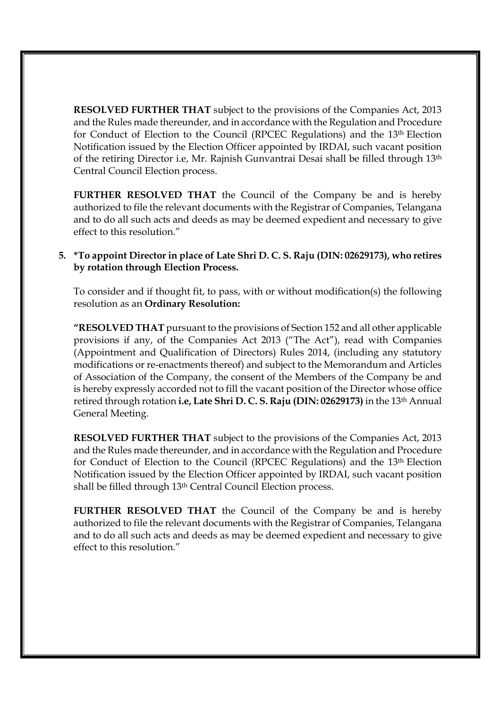**RESOLVED FURTHER THAT** subject to the provisions of the Companies Act, 2013 and the Rules made thereunder, and in accordance with the Regulation and Procedure for Conduct of Election to the Council (RPCEC Regulations) and the 13th Election Notification issued by the Election Officer appointed by IRDAI, such vacant position of the retiring Director i.e, Mr. Rajnish Gunvantrai Desai shall be filled through 13th Central Council Election process.

**FURTHER RESOLVED THAT** the Council of the Company be and is hereby authorized to file the relevant documents with the Registrar of Companies, Telangana and to do all such acts and deeds as may be deemed expedient and necessary to give effect to this resolution."

#### **5. \*To appoint Director in place of Late Shri D. C. S. Raju (DIN: 02629173), who retires by rotation through Election Process.**

To consider and if thought fit, to pass, with or without modification(s) the following resolution as an **Ordinary Resolution:**

**"RESOLVED THAT** pursuant to the provisions of Section 152 and all other applicable provisions if any, of the Companies Act 2013 ("The Act"), read with Companies (Appointment and Qualification of Directors) Rules 2014, (including any statutory modifications or re-enactments thereof) and subject to the Memorandum and Articles of Association of the Company, the consent of the Members of the Company be and is hereby expressly accorded not to fill the vacant position of the Director whose office retired through rotation **i.e, Late Shri D. C. S. Raju (DIN: 02629173)** in the 13th Annual General Meeting.

**RESOLVED FURTHER THAT** subject to the provisions of the Companies Act, 2013 and the Rules made thereunder, and in accordance with the Regulation and Procedure for Conduct of Election to the Council (RPCEC Regulations) and the 13th Election Notification issued by the Election Officer appointed by IRDAI, such vacant position shall be filled through 13<sup>th</sup> Central Council Election process.

**FURTHER RESOLVED THAT** the Council of the Company be and is hereby authorized to file the relevant documents with the Registrar of Companies, Telangana and to do all such acts and deeds as may be deemed expedient and necessary to give effect to this resolution."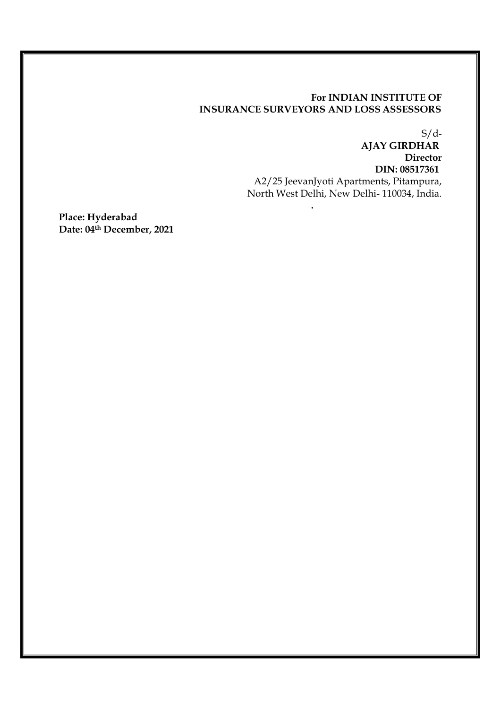#### **For INDIAN INSTITUTE OF INSURANCE SURVEYORS AND LOSS ASSESSORS**

**.** 

 $S/d$ -

**AJAY GIRDHAR Director DIN: 08517361**  A2/25 JeevanJyoti Apartments, Pitampura, North West Delhi, New Delhi- 110034, India.

**Place: Hyderabad Date: 04th December, 2021**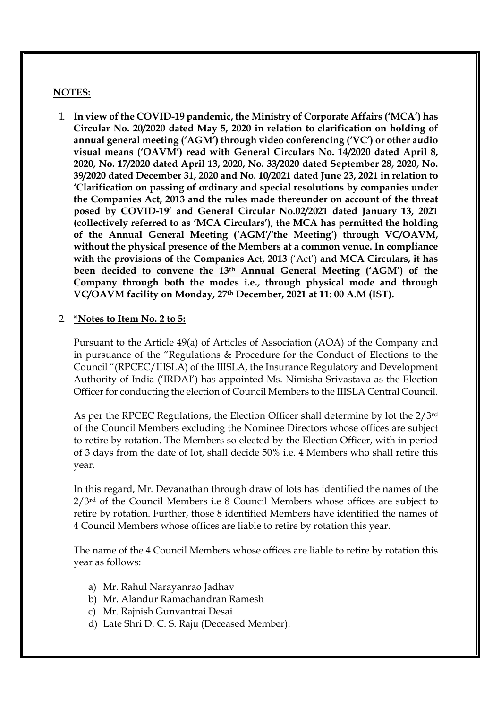#### **NOTES:**

1. **In view of the COVID-19 pandemic, the Ministry of Corporate Affairs ('MCA') has Circular No. 20/2020 dated May 5, 2020 in relation to clarification on holding of annual general meeting ('AGM') through video conferencing ('VC') or other audio visual means ('OAVM') read with General Circulars No. 14/2020 dated April 8, 2020, No. 17/2020 dated April 13, 2020, No. 33/2020 dated September 28, 2020, No. 39/2020 dated December 31, 2020 and No. 10/2021 dated June 23, 2021 in relation to 'Clarification on passing of ordinary and special resolutions by companies under the Companies Act, 2013 and the rules made thereunder on account of the threat posed by COVID-19' and General Circular No.02/2021 dated January 13, 2021 (collectively referred to as 'MCA Circulars'), the MCA has permitted the holding of the Annual General Meeting ('AGM'/'the Meeting') through VC/OAVM, without the physical presence of the Members at a common venue. In compliance with the provisions of the Companies Act, 2013** ('Act') **and MCA Circulars, it has been decided to convene the 13th Annual General Meeting ('AGM') of the Company through both the modes i.e., through physical mode and through VC/OAVM facility on Monday, 27th December, 2021 at 11: 00 A.M (IST).** 

#### 2. **\*Notes to Item No. 2 to 5:**

Pursuant to the Article 49(a) of Articles of Association (AOA) of the Company and in pursuance of the "Regulations & Procedure for the Conduct of Elections to the Council "(RPCEC/IIISLA) of the IIISLA, the Insurance Regulatory and Development Authority of India ('IRDAI') has appointed Ms. Nimisha Srivastava as the Election Officer for conducting the election of Council Members to the IIISLA Central Council.

As per the RPCEC Regulations, the Election Officer shall determine by lot the 2/3rd of the Council Members excluding the Nominee Directors whose offices are subject to retire by rotation. The Members so elected by the Election Officer, with in period of 3 days from the date of lot, shall decide 50% i.e. 4 Members who shall retire this year.

In this regard, Mr. Devanathan through draw of lots has identified the names of the 2/3rd of the Council Members i.e 8 Council Members whose offices are subject to retire by rotation. Further, those 8 identified Members have identified the names of 4 Council Members whose offices are liable to retire by rotation this year.

The name of the 4 Council Members whose offices are liable to retire by rotation this year as follows:

- a) Mr. Rahul Narayanrao Jadhav
- b) Mr. Alandur Ramachandran Ramesh
- c) Mr. Rajnish Gunvantrai Desai
- d) Late Shri D. C. S. Raju (Deceased Member).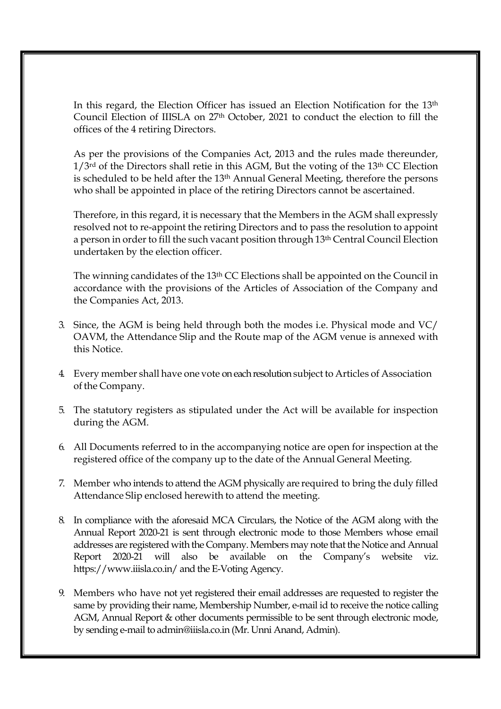In this regard, the Election Officer has issued an Election Notification for the 13th Council Election of IIISLA on 27th October, 2021 to conduct the election to fill the offices of the 4 retiring Directors.

As per the provisions of the Companies Act, 2013 and the rules made thereunder, 1/3rd of the Directors shall retie in this AGM, But the voting of the 13th CC Election is scheduled to be held after the 13<sup>th</sup> Annual General Meeting, therefore the persons who shall be appointed in place of the retiring Directors cannot be ascertained.

Therefore, in this regard, it is necessary that the Members in the AGM shall expressly resolved not to re-appoint the retiring Directors and to pass the resolution to appoint a person in order to fill the such vacant position through 13th Central Council Election undertaken by the election officer.

The winning candidates of the 13th CC Elections shall be appointed on the Council in accordance with the provisions of the Articles of Association of the Company and the Companies Act, 2013.

- 3. Since, the AGM is being held through both the modes i.e. Physical mode and VC/ OAVM, the Attendance Slip and the Route map of the AGM venue is annexed with this Notice.
- 4. Every member shall have one vote on each resolution subject to Articles of Association of the Company.
- 5. The statutory registers as stipulated under the Act will be available for inspection during the AGM.
- 6. All Documents referred to in the accompanying notice are open for inspection at the registered office of the company up to the date of the Annual General Meeting.
- 7. Member who intends to attend the AGM physically are required to bring the duly filled Attendance Slip enclosed herewith to attend the meeting.
- 8. In compliance with the aforesaid MCA Circulars, the Notice of the AGM along with the Annual Report 2020-21 is sent through electronic mode to those Members whose email addresses are registered with the Company. Members may note that the Notice and Annual Report 2020-21 will also be available on the Company's website viz. https://www.iiisla.co.in/ and the E-Voting Agency.
- 9. Members who have not yet registered their email addresses are requested to register the same by providing their name, Membership Number, e-mail id to receive the notice calling AGM, Annual Report & other documents permissible to be sent through electronic mode, by sending e-mail to admin@iiisla.co.in (Mr. Unni Anand, Admin).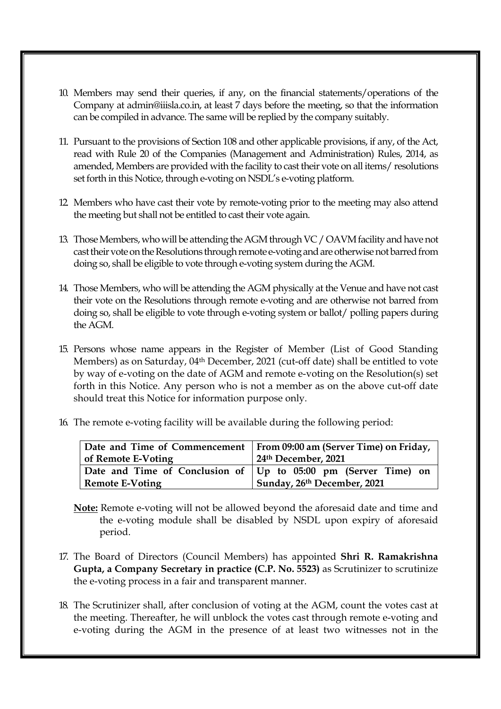- 10. Members may send their queries, if any, on the financial statements/operations of the Company at admin@iiisla.co.in, at least 7 days before the meeting, so that the information can be compiled in advance. The same will be replied by the company suitably.
- 11. Pursuant to the provisions of Section 108 and other applicable provisions, if any, of the Act, read with Rule 20 of the Companies (Management and Administration) Rules, 2014, as amended, Members are provided with the facility to cast their vote on all items/ resolutions set forth in this Notice, through e-voting on NSDL's e-voting platform.
- 12. Members who have cast their vote by remote-voting prior to the meeting may also attend the meeting but shall not be entitled to cast their vote again.
- 13. Those Members, who will be attending the AGM through VC / OAVM facility and have not cast their vote on the Resolutions through remote e-voting and are otherwise not barred from doing so, shall be eligible to vote through e-voting system during the AGM.
- 14. Those Members, who will be attending the AGM physically at the Venue and have not cast their vote on the Resolutions through remote e-voting and are otherwise not barred from doing so, shall be eligible to vote through e-voting system or ballot/ polling papers during the AGM.
- 15. Persons whose name appears in the Register of Member (List of Good Standing Members) as on Saturday, 04th December, 2021 (cut-off date) shall be entitled to vote by way of e-voting on the date of AGM and remote e-voting on the Resolution(s) set forth in this Notice. Any person who is not a member as on the above cut-off date should treat this Notice for information purpose only.
- 16. The remote e-voting facility will be available during the following period:

|                        | Date and Time of Commencement   From 09:00 am (Server Time) on Friday, |  |
|------------------------|------------------------------------------------------------------------|--|
| of Remote E-Voting     | 24th December, 2021                                                    |  |
|                        | Date and Time of Conclusion of   Up to 05:00 pm (Server Time) on       |  |
| <b>Remote E-Voting</b> | Sunday, 26th December, 2021                                            |  |

- **Note:** Remote e-voting will not be allowed beyond the aforesaid date and time and the e-voting module shall be disabled by NSDL upon expiry of aforesaid period.
- 17. The Board of Directors (Council Members) has appointed **Shri R. Ramakrishna Gupta, a Company Secretary in practice (C.P. No. 5523)** as Scrutinizer to scrutinize the e-voting process in a fair and transparent manner.
- 18. The Scrutinizer shall, after conclusion of voting at the AGM, count the votes cast at the meeting. Thereafter, he will unblock the votes cast through remote e-voting and e-voting during the AGM in the presence of at least two witnesses not in the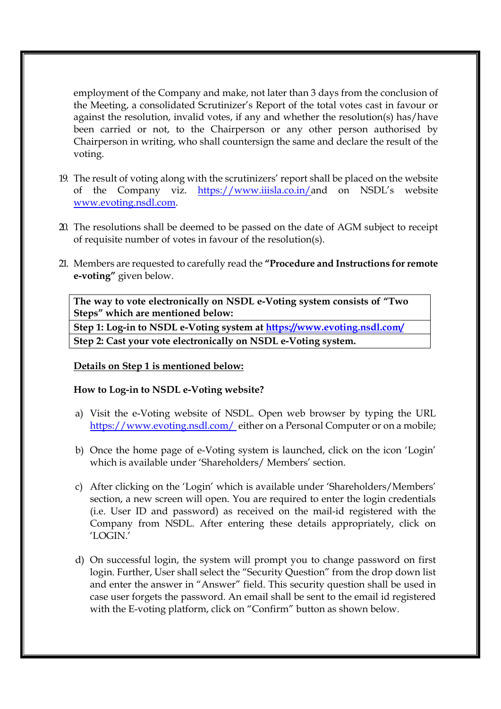employment of the Company and make, not later than 3 days from the conclusion of the Meeting, a consolidated Scrutinizer's Report of the total votes cast in favour or against the resolution, invalid votes, if any and whether the resolution(s) has/have been carried or not, to the Chairperson or any other person authorised by Chairperson in writing, who shall countersign the same and declare the result of the voting.

- 19. The result of voting along with the scrutinizers' report shall be placed on the website of the Company viz. https://www.iiisla.co.in/and on NSDL's website www.evoting.nsdl.com.
- 20. The resolutions shall be deemed to be passed on the date of AGM subject to receipt of requisite number of votes in favour of the resolution(s).
- 21. Members are requested to carefully read the **"Procedure and Instructions for remote e-voting"** given below.

**The way to vote electronically on NSDL e-Voting system consists of "Two Steps" which are mentioned below:** 

**Step 1: Log-in to NSDL e-Voting system at https://www.evoting.nsdl.com/**

**Step 2: Cast your vote electronically on NSDL e-Voting system.**

#### **Details on Step 1 is mentioned below:**

#### **How to Log-in to NSDL e-Voting website?**

- a) Visit the e-Voting website of NSDL. Open web browser by typing the URL https://www.evoting.nsdl.com/ either on a Personal Computer or on a mobile;
- b) Once the home page of e-Voting system is launched, click on the icon 'Login' which is available under 'Shareholders/ Members' section.
- c) After clicking on the 'Login' which is available under 'Shareholders/Members' section, a new screen will open. You are required to enter the login credentials (i.e. User ID and password) as received on the mail-id registered with the Company from NSDL. After entering these details appropriately, click on 'LOGIN.'
- d) On successful login, the system will prompt you to change password on first login. Further, User shall select the "Security Question" from the drop down list and enter the answer in "Answer" field. This security question shall be used in case user forgets the password. An email shall be sent to the email id registered with the E-voting platform, click on "Confirm" button as shown below.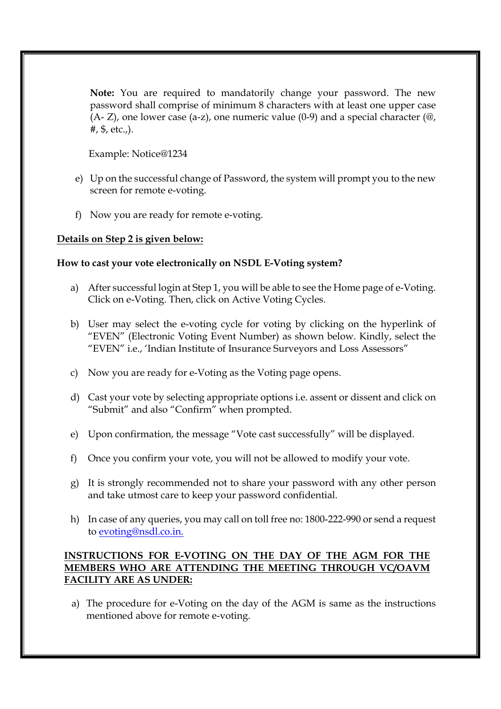**Note:** You are required to mandatorily change your password. The new password shall comprise of minimum 8 characters with at least one upper case  $(A - Z)$ , one lower case  $(a - z)$ , one numeric value  $(0-9)$  and a special character  $(\mathcal{Q}, \mathcal{Q})$ #, \$, etc.,).

Example: Notice@1234

- e) Up on the successful change of Password, the system will prompt you to the new screen for remote e-voting.
- f) Now you are ready for remote e-voting.

#### **Details on Step 2 is given below:**

#### **How to cast your vote electronically on NSDL E-Voting system?**

- a) After successful login at Step 1, you will be able to see the Home page of e-Voting. Click on e-Voting. Then, click on Active Voting Cycles.
- b) User may select the e-voting cycle for voting by clicking on the hyperlink of "EVEN" (Electronic Voting Event Number) as shown below. Kindly, select the "EVEN" i.e., 'Indian Institute of Insurance Surveyors and Loss Assessors"
- c) Now you are ready for e-Voting as the Voting page opens.
- d) Cast your vote by selecting appropriate options i.e. assent or dissent and click on "Submit" and also "Confirm" when prompted.
- e) Upon confirmation, the message "Vote cast successfully" will be displayed.
- f) Once you confirm your vote, you will not be allowed to modify your vote.
- g) It is strongly recommended not to share your password with any other person and take utmost care to keep your password confidential.
- h) In case of any queries, you may call on toll free no: 1800-222-990 or send a request to evoting@nsdl.co.in.

#### **INSTRUCTIONS FOR E-VOTING ON THE DAY OF THE AGM FOR THE MEMBERS WHO ARE ATTENDING THE MEETING THROUGH VC/OAVM FACILITY ARE AS UNDER:**

a) The procedure for e-Voting on the day of the AGM is same as the instructions mentioned above for remote e-voting.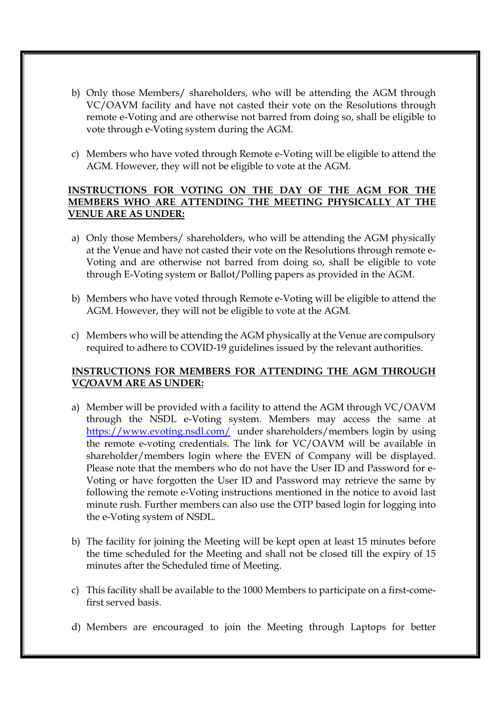- b) Only those Members/ shareholders, who will be attending the AGM through VC/OAVM facility and have not casted their vote on the Resolutions through remote e-Voting and are otherwise not barred from doing so, shall be eligible to vote through e-Voting system during the AGM.
- c) Members who have voted through Remote e-Voting will be eligible to attend the AGM. However, they will not be eligible to vote at the AGM.

#### **INSTRUCTIONS FOR VOTING ON THE DAY OF THE AGM FOR THE MEMBERS WHO ARE ATTENDING THE MEETING PHYSICALLY AT THE VENUE ARE AS UNDER:**

- a) Only those Members/ shareholders, who will be attending the AGM physically at the Venue and have not casted their vote on the Resolutions through remote e-Voting and are otherwise not barred from doing so, shall be eligible to vote through E-Voting system or Ballot/Polling papers as provided in the AGM.
- b) Members who have voted through Remote e-Voting will be eligible to attend the AGM. However, they will not be eligible to vote at the AGM.
- c) Members who will be attending the AGM physically at the Venue are compulsory required to adhere to COVID-19 guidelines issued by the relevant authorities.

## **INSTRUCTIONS FOR MEMBERS FOR ATTENDING THE AGM THROUGH VC/OAVM ARE AS UNDER:**

- a) Member will be provided with a facility to attend the AGM through VC/OAVM through the NSDL e-Voting system. Members may access the same at https://www.evoting.nsdl.com/ under shareholders/members login by using the remote e-voting credentials. The link for VC/OAVM will be available in shareholder/members login where the EVEN of Company will be displayed. Please note that the members who do not have the User ID and Password for e-Voting or have forgotten the User ID and Password may retrieve the same by following the remote e-Voting instructions mentioned in the notice to avoid last minute rush. Further members can also use the OTP based login for logging into the e-Voting system of NSDL.
- b) The facility for joining the Meeting will be kept open at least 15 minutes before the time scheduled for the Meeting and shall not be closed till the expiry of 15 minutes after the Scheduled time of Meeting.
- c) This facility shall be available to the 1000 Members to participate on a first-comefirst served basis.
- d) Members are encouraged to join the Meeting through Laptops for better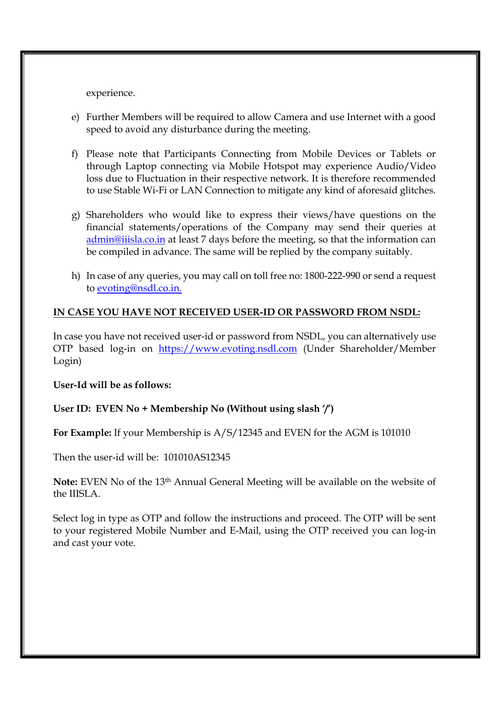experience.

- e) Further Members will be required to allow Camera and use Internet with a good speed to avoid any disturbance during the meeting.
- f) Please note that Participants Connecting from Mobile Devices or Tablets or through Laptop connecting via Mobile Hotspot may experience Audio/Video loss due to Fluctuation in their respective network. It is therefore recommended to use Stable Wi-Fi or LAN Connection to mitigate any kind of aforesaid glitches.
- g) Shareholders who would like to express their views/have questions on the financial statements/operations of the Company may send their queries at admin@iiisla.co.in at least 7 days before the meeting, so that the information can be compiled in advance. The same will be replied by the company suitably.
- h) In case of any queries, you may call on toll free no: 1800-222-990 or send a request to evoting@nsdl.co.in.

## **IN CASE YOU HAVE NOT RECEIVED USER-ID OR PASSWORD FROM NSDL:**

In case you have not received user-id or password from NSDL, you can alternatively use OTP based log-in on https://www.evoting.nsdl.com (Under Shareholder/Member Login)

#### **User-Id will be as follows:**

#### **User ID: EVEN No + Membership No (Without using slash '/')**

**For Example:** If your Membership is A/S/12345 and EVEN for the AGM is 101010

Then the user-id will be: 101010AS12345

**Note:** EVEN No of the 13th Annual General Meeting will be available on the website of the IIISLA.

Select log in type as OTP and follow the instructions and proceed. The OTP will be sent to your registered Mobile Number and E-Mail, using the OTP received you can log-in and cast your vote.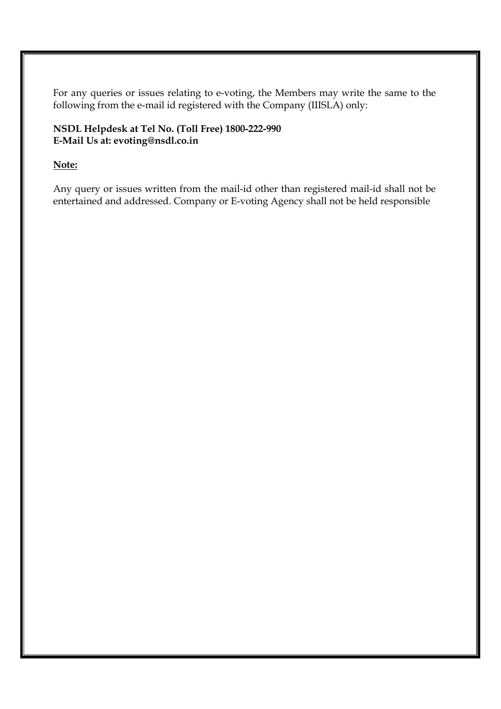For any queries or issues relating to e-voting, the Members may write the same to the following from the e-mail id registered with the Company (IIISLA) only:

# **NSDL Helpdesk at Tel No. (Toll Free) 1800-222-990 E-Mail Us at: evoting@nsdl.co.in**

## **Note:**

Any query or issues written from the mail-id other than registered mail-id shall not be entertained and addressed. Company or E-voting Agency shall not be held responsible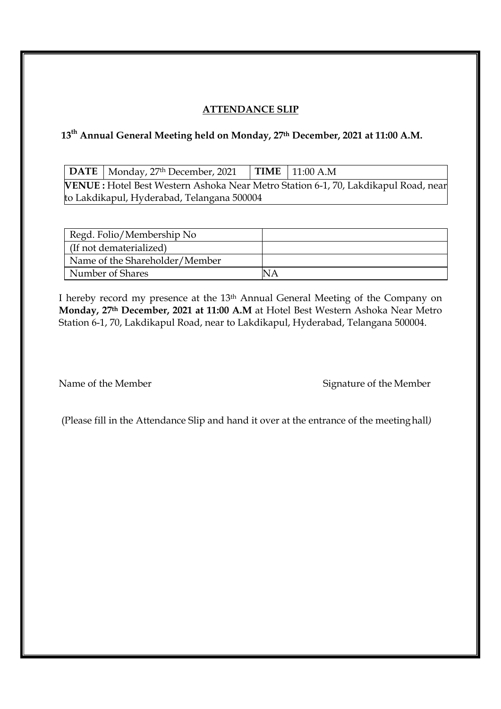# **ATTENDANCE SLIP**

# **13th Annual General Meeting held on Monday, 27th December, 2021 at 11:00 A.M.**

|                                                                                    | $\vert$ DATE $\vert$ Monday, 27 <sup>th</sup> December, 2021 $\vert$ TIME $\vert$ 11:00 A.M |  |  |  |  |
|------------------------------------------------------------------------------------|---------------------------------------------------------------------------------------------|--|--|--|--|
| VENUE: Hotel Best Western Ashoka Near Metro Station 6-1, 70, Lakdikapul Road, near |                                                                                             |  |  |  |  |
| to Lakdikapul, Hyderabad, Telangana 500004                                         |                                                                                             |  |  |  |  |

| Regd. Folio/Membership No      |  |
|--------------------------------|--|
| (If not dematerialized)        |  |
| Name of the Shareholder/Member |  |
| Number of Shares               |  |

I hereby record my presence at the 13th Annual General Meeting of the Company on **Monday, 27th December, 2021 at 11:00 A.M** at Hotel Best Western Ashoka Near Metro Station 6-1, 70, Lakdikapul Road, near to Lakdikapul, Hyderabad, Telangana 500004.

Name of the Member Signature of the Member

(Please fill in the Attendance Slip and hand it over at the entrance of the meeting hall*)*